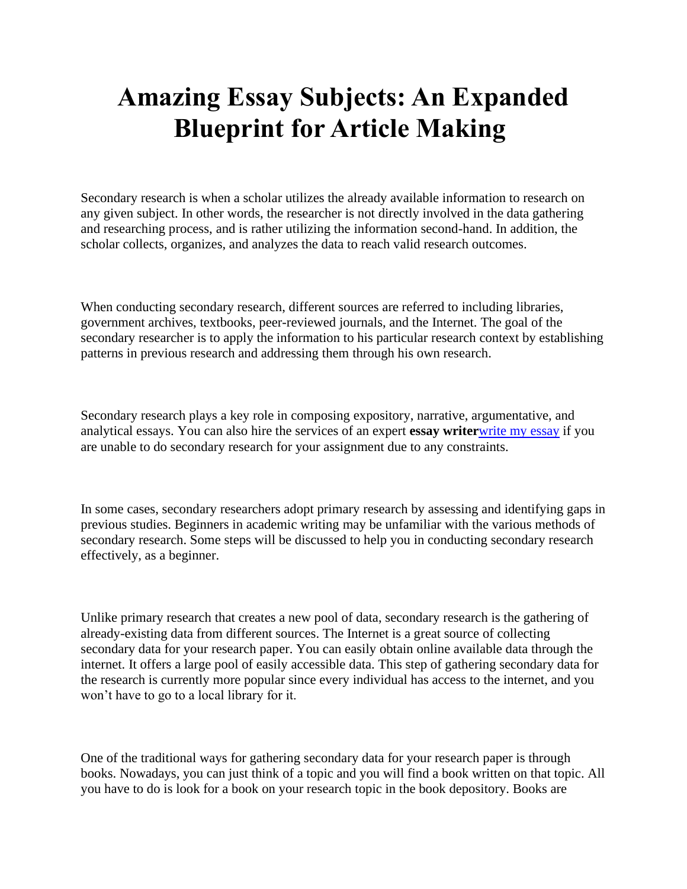## **Amazing Essay Subjects: An Expanded Blueprint for Article Making**

Secondary research is when a scholar utilizes the already available information to research on any given subject. In other words, the researcher is not directly involved in the data gathering and researching process, and is rather utilizing the information second-hand. In addition, the scholar collects, organizes, and analyzes the data to reach valid research outcomes.

When conducting secondary research, different sources are referred to including libraries, government archives, textbooks, peer-reviewed journals, and the Internet. The goal of the secondary researcher is to apply the information to his particular research context by establishing patterns in previous research and addressing them through his own research.

Secondary research plays a key role in composing expository, narrative, argumentative, and analytical essays. You can also hire the services of an expert **essay writer**[write my essay](https://writemyessayfast.net/) if you are unable to do secondary research for your assignment due to any constraints.

In some cases, secondary researchers adopt primary research by assessing and identifying gaps in previous studies. Beginners in academic writing may be unfamiliar with the various methods of secondary research. Some steps will be discussed to help you in conducting secondary research effectively, as a beginner.

Unlike primary research that creates a new pool of data, secondary research is the gathering of already-existing data from different sources. The Internet is a great source of collecting secondary data for your research paper. You can easily obtain online available data through the internet. It offers a large pool of easily accessible data. This step of gathering secondary data for the research is currently more popular since every individual has access to the internet, and you won't have to go to a local library for it.

One of the traditional ways for gathering secondary data for your research paper is through books. Nowadays, you can just think of a topic and you will find a book written on that topic. All you have to do is look for a book on your research topic in the book depository. Books are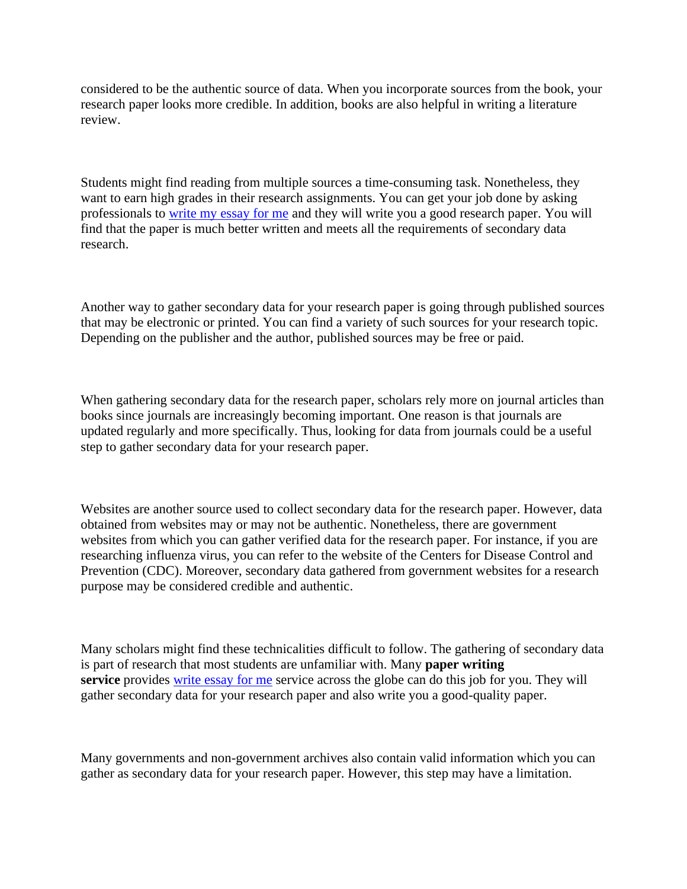considered to be the authentic source of data. When you incorporate sources from the book, your research paper looks more credible. In addition, books are also helpful in writing a literature review.

Students might find reading from multiple sources a time-consuming task. Nonetheless, they want to earn high grades in their research assignments. You can get your job done by asking professionals to [write my essay for me](https://writemyessayfast.net/) and they will write you a good research paper. You will find that the paper is much better written and meets all the requirements of secondary data research.

Another way to gather secondary data for your research paper is going through published sources that may be electronic or printed. You can find a variety of such sources for your research topic. Depending on the publisher and the author, published sources may be free or paid.

When gathering secondary data for the research paper, scholars rely more on journal articles than books since journals are increasingly becoming important. One reason is that journals are updated regularly and more specifically. Thus, looking for data from journals could be a useful step to gather secondary data for your research paper.

Websites are another source used to collect secondary data for the research paper. However, data obtained from websites may or may not be authentic. Nonetheless, there are government websites from which you can gather verified data for the research paper. For instance, if you are researching influenza virus, you can refer to the website of the Centers for Disease Control and Prevention (CDC). Moreover, secondary data gathered from government websites for a research purpose may be considered credible and authentic.

Many scholars might find these technicalities difficult to follow. The gathering of secondary data is part of research that most students are unfamiliar with. Many **paper writing service** provides [write essay for me](https://writemyessayfast.net/) service across the globe can do this job for you. They will gather secondary data for your research paper and also write you a good-quality paper.

Many governments and non-government archives also contain valid information which you can gather as secondary data for your research paper. However, this step may have a limitation.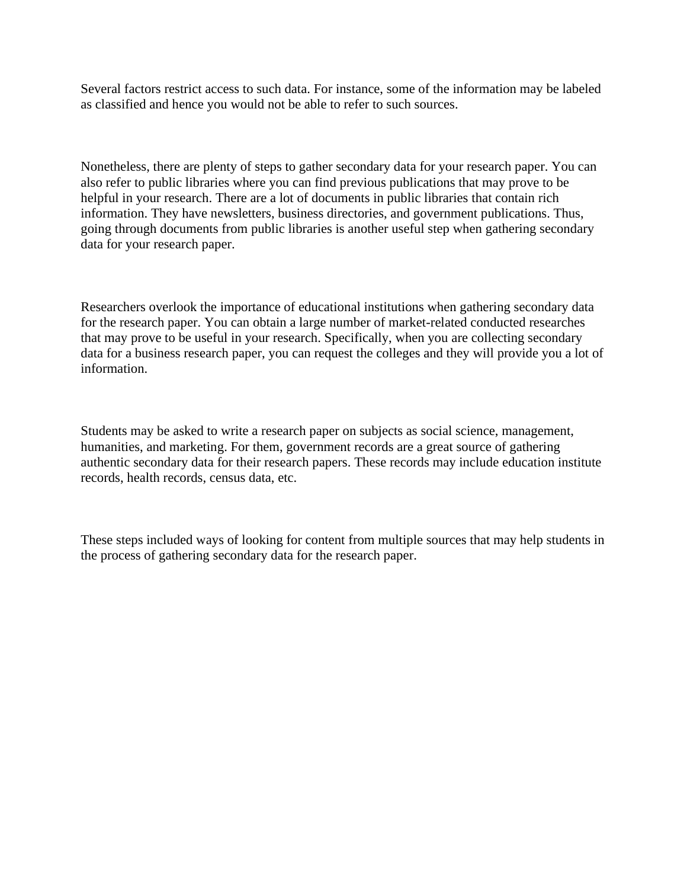Several factors restrict access to such data. For instance, some of the information may be labeled as classified and hence you would not be able to refer to such sources.

Nonetheless, there are plenty of steps to gather secondary data for your research paper. You can also refer to public libraries where you can find previous publications that may prove to be helpful in your research. There are a lot of documents in public libraries that contain rich information. They have newsletters, business directories, and government publications. Thus, going through documents from public libraries is another useful step when gathering secondary data for your research paper.

Researchers overlook the importance of educational institutions when gathering secondary data for the research paper. You can obtain a large number of market-related conducted researches that may prove to be useful in your research. Specifically, when you are collecting secondary data for a business research paper, you can request the colleges and they will provide you a lot of information.

Students may be asked to write a research paper on subjects as social science, management, humanities, and marketing. For them, government records are a great source of gathering authentic secondary data for their research papers. These records may include education institute records, health records, census data, etc.

These steps included ways of looking for content from multiple sources that may help students in the process of gathering secondary data for the research paper.